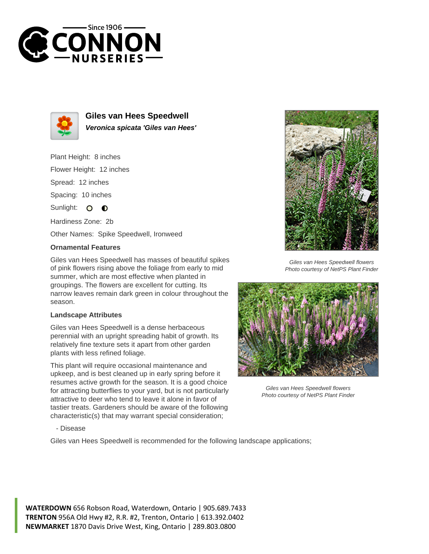



**Giles van Hees Speedwell Veronica spicata 'Giles van Hees'**

Plant Height: 8 inches

Flower Height: 12 inches

Spread: 12 inches

Spacing: 10 inches

Sunlight:  $\circ$  $\bullet$ 

Hardiness Zone: 2b

Other Names: Spike Speedwell, Ironweed

## **Ornamental Features**

Giles van Hees Speedwell has masses of beautiful spikes of pink flowers rising above the foliage from early to mid summer, which are most effective when planted in groupings. The flowers are excellent for cutting. Its narrow leaves remain dark green in colour throughout the season.

## **Landscape Attributes**

Giles van Hees Speedwell is a dense herbaceous perennial with an upright spreading habit of growth. Its relatively fine texture sets it apart from other garden plants with less refined foliage.

This plant will require occasional maintenance and upkeep, and is best cleaned up in early spring before it resumes active growth for the season. It is a good choice for attracting butterflies to your yard, but is not particularly attractive to deer who tend to leave it alone in favor of tastier treats. Gardeners should be aware of the following characteristic(s) that may warrant special consideration;



Giles van Hees Speedwell flowers Photo courtesy of NetPS Plant Finder



Giles van Hees Speedwell flowers Photo courtesy of NetPS Plant Finder

## - Disease

Giles van Hees Speedwell is recommended for the following landscape applications;

**WATERDOWN** 656 Robson Road, Waterdown, Ontario | 905.689.7433 **TRENTON** 956A Old Hwy #2, R.R. #2, Trenton, Ontario | 613.392.0402 **NEWMARKET** 1870 Davis Drive West, King, Ontario | 289.803.0800